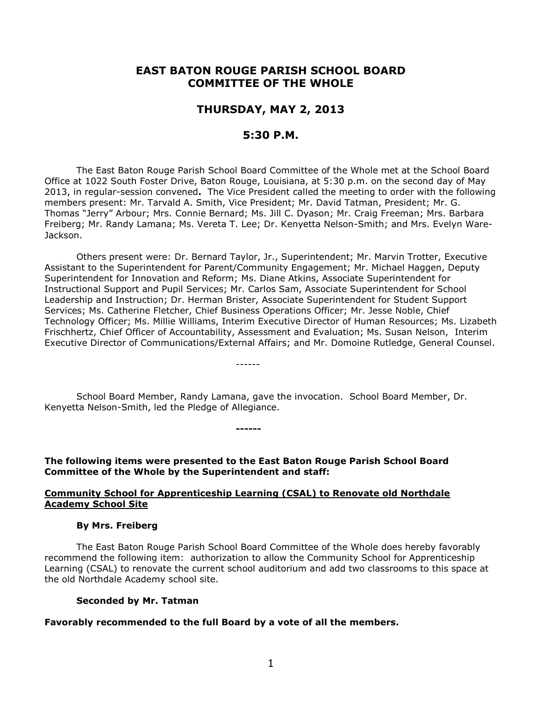# **EAST BATON ROUGE PARISH SCHOOL BOARD COMMITTEE OF THE WHOLE**

# **THURSDAY, MAY 2, 2013**

# **5:30 P.M.**

The East Baton Rouge Parish School Board Committee of the Whole met at the School Board Office at 1022 South Foster Drive, Baton Rouge, Louisiana, at 5:30 p.m. on the second day of May 2013, in regular-session convened**.** The Vice President called the meeting to order with the following members present: Mr. Tarvald A. Smith, Vice President; Mr. David Tatman, President; Mr. G. Thomas "Jerry" Arbour; Mrs. Connie Bernard; Ms. Jill C. Dyason; Mr. Craig Freeman; Mrs. Barbara Freiberg; Mr. Randy Lamana; Ms. Vereta T. Lee; Dr. Kenyetta Nelson-Smith; and Mrs. Evelyn Ware-Jackson.

Others present were: Dr. Bernard Taylor, Jr., Superintendent; Mr. Marvin Trotter, Executive Assistant to the Superintendent for Parent/Community Engagement; Mr. Michael Haggen, Deputy Superintendent for Innovation and Reform; Ms. Diane Atkins, Associate Superintendent for Instructional Support and Pupil Services; Mr. Carlos Sam, Associate Superintendent for School Leadership and Instruction; Dr. Herman Brister, Associate Superintendent for Student Support Services; Ms. Catherine Fletcher, Chief Business Operations Officer; Mr. Jesse Noble, Chief Technology Officer; Ms. Millie Williams, Interim Executive Director of Human Resources; Ms. Lizabeth Frischhertz, Chief Officer of Accountability, Assessment and Evaluation; Ms. Susan Nelson, Interim Executive Director of Communications/External Affairs; and Mr. Domoine Rutledge, General Counsel.

School Board Member, Randy Lamana, gave the invocation. School Board Member, Dr. Kenyetta Nelson-Smith, led the Pledge of Allegiance.

------

**The following items were presented to the East Baton Rouge Parish School Board Committee of the Whole by the Superintendent and staff:**

**------**

### **Community School for Apprenticeship Learning (CSAL) to Renovate old Northdale Academy School Site**

#### **By Mrs. Freiberg**

The East Baton Rouge Parish School Board Committee of the Whole does hereby favorably recommend the following item: authorization to allow the Community School for Apprenticeship Learning (CSAL) to renovate the current school auditorium and add two classrooms to this space at the old Northdale Academy school site.

#### **Seconded by Mr. Tatman**

### **Favorably recommended to the full Board by a vote of all the members.**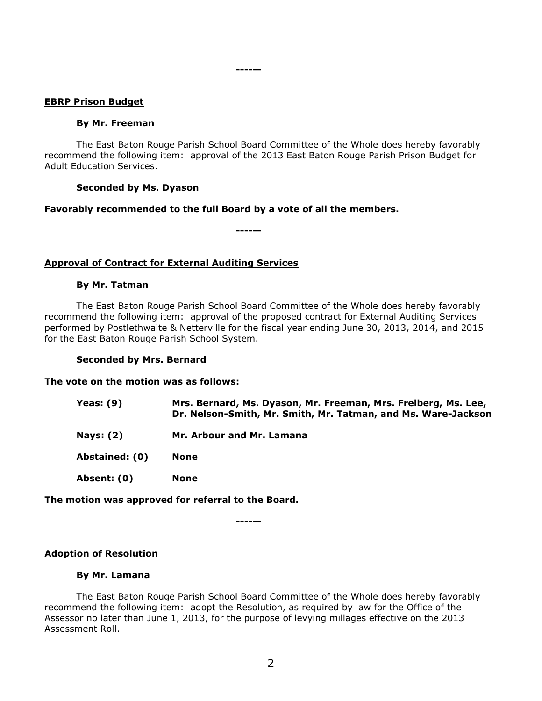### **EBRP Prison Budget**

#### **By Mr. Freeman**

The East Baton Rouge Parish School Board Committee of the Whole does hereby favorably recommend the following item: approval of the 2013 East Baton Rouge Parish Prison Budget for Adult Education Services.

**------**

### **Seconded by Ms. Dyason**

### **Favorably recommended to the full Board by a vote of all the members.**

**------**

# **Approval of Contract for External Auditing Services**

### **By Mr. Tatman**

The East Baton Rouge Parish School Board Committee of the Whole does hereby favorably recommend the following item: approval of the proposed contract for External Auditing Services performed by Postlethwaite & Netterville for the fiscal year ending June 30, 2013, 2014, and 2015 for the East Baton Rouge Parish School System.

### **Seconded by Mrs. Bernard**

### **The vote on the motion was as follows:**

| Yeas: $(9)$      | Mrs. Bernard, Ms. Dyason, Mr. Freeman, Mrs. Freiberg, Ms. Lee,<br>Dr. Nelson-Smith, Mr. Smith, Mr. Tatman, and Ms. Ware-Jackson |
|------------------|---------------------------------------------------------------------------------------------------------------------------------|
| <b>Nays: (2)</b> | Mr. Arbour and Mr. Lamana                                                                                                       |
| Abstained: (0)   | None                                                                                                                            |
| Absent: (0)      | <b>None</b>                                                                                                                     |

### **The motion was approved for referral to the Board.**

**------**

### **Adoption of Resolution**

### **By Mr. Lamana**

The East Baton Rouge Parish School Board Committee of the Whole does hereby favorably recommend the following item: adopt the Resolution, as required by law for the Office of the Assessor no later than June 1, 2013, for the purpose of levying millages effective on the 2013 Assessment Roll.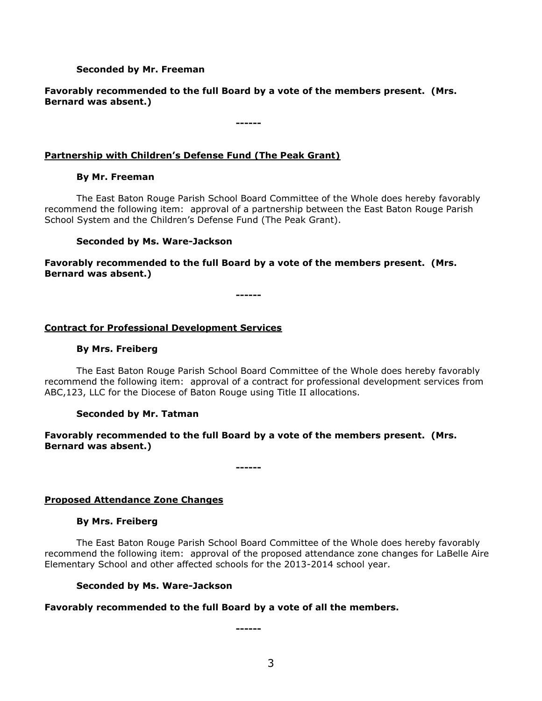### **Seconded by Mr. Freeman**

# **Favorably recommended to the full Board by a vote of the members present. (Mrs. Bernard was absent.)**

**------**

# **Partnership with Children's Defense Fund (The Peak Grant)**

### **By Mr. Freeman**

The East Baton Rouge Parish School Board Committee of the Whole does hereby favorably recommend the following item: approval of a partnership between the East Baton Rouge Parish School System and the Children's Defense Fund (The Peak Grant).

### **Seconded by Ms. Ware-Jackson**

**Favorably recommended to the full Board by a vote of the members present. (Mrs. Bernard was absent.)**

**------**

# **Contract for Professional Development Services**

### **By Mrs. Freiberg**

The East Baton Rouge Parish School Board Committee of the Whole does hereby favorably recommend the following item: approval of a contract for professional development services from ABC,123, LLC for the Diocese of Baton Rouge using Title II allocations.

# **Seconded by Mr. Tatman**

# **Favorably recommended to the full Board by a vote of the members present. (Mrs. Bernard was absent.)**

**------**

# **Proposed Attendance Zone Changes**

# **By Mrs. Freiberg**

The East Baton Rouge Parish School Board Committee of the Whole does hereby favorably recommend the following item: approval of the proposed attendance zone changes for LaBelle Aire Elementary School and other affected schools for the 2013-2014 school year.

### **Seconded by Ms. Ware-Jackson**

# **Favorably recommended to the full Board by a vote of all the members.**

**------**